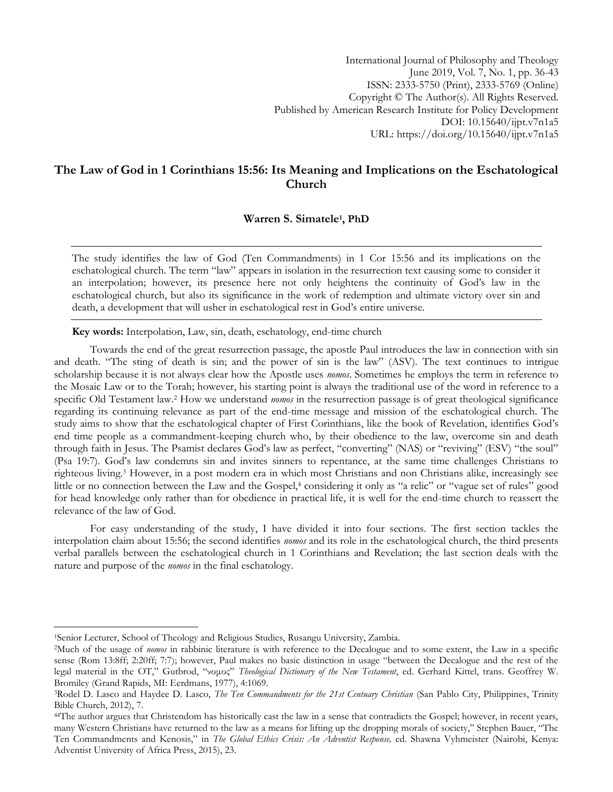International Journal of Philosophy and Theology June 2019, Vol. 7, No. 1, pp. 36-43 ISSN: 2333-5750 (Print), 2333-5769 (Online) Copyright © The Author(s). All Rights Reserved. Published by American Research Institute for Policy Development DOI: 10.15640/ijpt.v7n1a5 URL: https://doi.org/10.15640/ijpt.v7n1a5

# **The Law of God in 1 Corinthians 15:56: Its Meaning and Implications on the Eschatological Church**

# **Warren S. Simatele<sup>1</sup> , PhD**

The study identifies the law of God (Ten Commandments) in 1 Cor 15:56 and its implications on the eschatological church. The term "law" appears in isolation in the resurrection text causing some to consider it an interpolation; however, its presence here not only heightens the continuity of God's law in the eschatological church, but also its significance in the work of redemption and ultimate victory over sin and death, a development that will usher in eschatological rest in God's entire universe.

**Key words:** Interpolation, Law, sin, death, eschatology, end-time church

Towards the end of the great resurrection passage, the apostle Paul introduces the law in connection with sin and death. "The sting of death is sin; and the power of sin is the law" (ASV). The text continues to intrigue scholarship because it is not always clear how the Apostle uses *nomos*. Sometimes he employs the term in reference to the Mosaic Law or to the Torah; however, his starting point is always the traditional use of the word in reference to a specific Old Testament law.<sup>2</sup> How we understand *nomos* in the resurrection passage is of great theological significance regarding its continuing relevance as part of the end-time message and mission of the eschatological church. The study aims to show that the eschatological chapter of First Corinthians, like the book of Revelation, identifies God's end time people as a commandment-keeping church who, by their obedience to the law, overcome sin and death through faith in Jesus. The Psamist declares God's law as perfect, "converting" (NAS) or "reviving" (ESV) "the soul" (Psa 19:7). God's law condemns sin and invites sinners to repentance, at the same time challenges Christians to righteous living.<sup>3</sup> However, in a post modern era in which most Christians and non Christians alike, increasingly see little or no connection between the Law and the Gospel,<sup>4</sup> considering it only as "a relic" or "vague set of rules" good for head knowledge only rather than for obedience in practical life, it is well for the end-time church to reassert the relevance of the law of God.

For easy understanding of the study, I have divided it into four sections. The first section tackles the interpolation claim about 15:56; the second identifies *nomos* and its role in the eschatological church, the third presents verbal parallels between the eschatological church in 1 Corinthians and Revelation; the last section deals with the nature and purpose of the *nomos* in the final eschatology.

<sup>&</sup>lt;sup>1</sup>Senior Lecturer, School of Theology and Religious Studies, Rusangu University, Zambia.

<sup>2</sup>Much of the usage of *nomos* in rabbinic literature is with reference to the Decalogue and to some extent, the Law in a specific sense (Rom 13:8ff; 2:20ff; 7:7); however, Paul makes no basic distinction in usage "between the Decalogue and the rest of the legal material in the OT," Gutbrod, "νομος" *Theological Dictionary of the New Testament*, ed. Gerhard Kittel, trans. Geoffrey W. Bromiley (Grand Rapids, MI: Eerdmans, 1977), 4:1069.

<sup>3</sup>Rodel D. Lasco and Haydee D. Lasco, *The Ten Commandments for the 21st Centuary Christian* (San Pablo City, Philippines, Trinity Bible Church, 2012), 7.

<sup>&</sup>lt;sup>44</sup>The author argues that Christendom has historically cast the law in a sense that contradicts the Gospel; however, in recent years, many Western Christians have returned to the law as a means for lifting up the dropping morals of society," Stephen Bauer, "The Ten Commandments and Kenosis," in *The Global Ethics Crisis: An Adventist Response,* ed. Shawna Vyhmeister (Nairobi, Kenya: Adventist University of Africa Press, 2015), 23.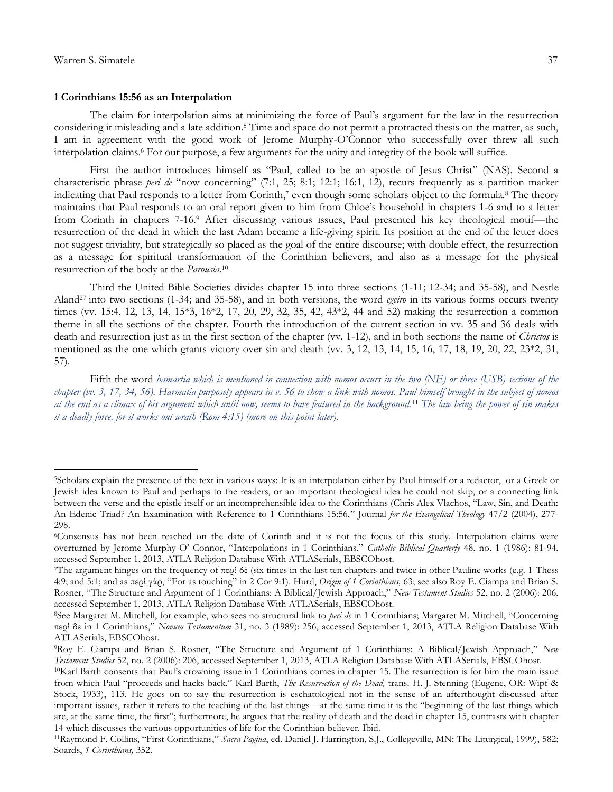$\overline{a}$ 

#### **1 Corinthians 15:56 as an Interpolation**

The claim for interpolation aims at minimizing the force of Paul's argument for the law in the resurrection considering it misleading and a late addition.<sup>5</sup> Time and space do not permit a protracted thesis on the matter, as such, I am in agreement with the good work of Jerome Murphy-O'Connor who successfully over threw all such interpolation claims.<sup>6</sup> For our purpose, a few arguments for the unity and integrity of the book will suffice.

First the author introduces himself as "Paul, called to be an apostle of Jesus Christ" (NAS). Second a characteristic phrase *peri de* "now concerning" (7:1, 25; 8:1; 12:1; 16:1, 12), recurs frequently as a partition marker indicating that Paul responds to a letter from Corinth, <sup>7</sup> even though some scholars object to the formula.<sup>8</sup> The theory maintains that Paul responds to an oral report given to him from Chloe's household in chapters 1-6 and to a letter from Corinth in chapters 7-16.<sup>9</sup> After discussing various issues, Paul presented his key theological motif—the resurrection of the dead in which the last Adam became a life-giving spirit. Its position at the end of the letter does not suggest triviality, but strategically so placed as the goal of the entire discourse; with double effect, the resurrection as a message for spiritual transformation of the Corinthian believers, and also as a message for the physical resurrection of the body at the *Parousia*. 10

Third the United Bible Societies divides chapter 15 into three sections (1-11; 12-34; and 35-58), and Nestle Aland27 into two sections (1-34; and 35-58), and in both versions, the word *egeiro* in its various forms occurs twenty times (vv. 15:4, 12, 13, 14, 15\*3, 16\*2, 17, 20, 29, 32, 35, 42, 43\*2, 44 and 52) making the resurrection a common theme in all the sections of the chapter. Fourth the introduction of the current section in vv. 35 and 36 deals with death and resurrection just as in the first section of the chapter (vv. 1-12), and in both sections the name of *Christos* is mentioned as the one which grants victory over sin and death (vv. 3, 12, 13, 14, 15, 16, 17, 18, 19, 20, 22, 23\*2, 31, 57).

Fifth the word *hamartia which is mentioned in connection with nomos occurs in the two (NE) or three (USB) sections of the chapter (vv. 3, 17, 34, 56). Harmatia purposely appears in v. 56 to show a link with nomos. Paul himself brought in the subject of nomos at the end as a climax of his argument which until now, seems to have featured in the background.*<sup>11</sup> *The law being the power of sin makes it a deadly force, for it works out wrath (Rom 4:15) (more on this point later).* 

<sup>5</sup>Scholars explain the presence of the text in various ways: It is an interpolation either by Paul himself or a redactor, or a Greek or Jewish idea known to Paul and perhaps to the readers, or an important theological idea he could not skip, or a connecting link between the verse and the epistle itself or an incomprehensible idea to the Corinthians (Chris Alex Vlachos, "Law, Sin, and Death: An Edenic Triad? An Examination with Reference to 1 Corinthians 15:56," Journal *for the Evangelical Theology* 47/2 (2004), 277- 298.

<sup>6</sup>Consensus has not been reached on the date of Corinth and it is not the focus of this study. Interpolation claims were overturned by Jerome Murphy-O' Connor, "Interpolations in 1 Corinthians," *Catholic Biblical Quarterly* 48, no. 1 (1986): 81-94, accessed September 1, 2013, ATLA Religion Database With ATLASerials, EBSCOhost.

The argument hinges on the frequency of  $\pi$ spi δέ (six times in the last ten chapters and twice in other Pauline works (e.g. 1 Thess 4:9; and 5:1; and as περί γάρ, "For as touching" in 2 Cor 9:1). Hurd, *Origin of 1 Corinthians,* 63; see also Roy E. Ciampa and Brian S. Rosner, "The Structure and Argument of 1 Corinthians: A Biblical/Jewish Approach," *New Testament Studies* 52, no. 2 (2006): 206, accessed September 1, 2013, ATLA Religion Database With ATLASerials, EBSCOhost.

<sup>8</sup>See Margaret M. Mitchell, for example, who sees no structural link to *peri de* in 1 Corinthians; Margaret M. Mitchell, "Concerning περί δε in 1 Corinthians," *Novum Testamentum* 31, no. 3 (1989): 256, accessed September 1, 2013, ATLA Religion Database With ATLASerials, EBSCOhost.

<sup>9</sup>Roy E. Ciampa and Brian S. Rosner, "The Structure and Argument of 1 Corinthians: A Biblical/Jewish Approach," *New Testament Studies* 52, no. 2 (2006): 206, accessed September 1, 2013, ATLA Religion Database With ATLASerials, EBSCOhost.

<sup>10</sup>Karl Barth consents that Paul's crowning issue in 1 Corinthians comes in chapter 15. The resurrection is for him the main issue from which Paul "proceeds and hacks back." Karl Barth, *The Resurrection of the Dead,* trans. H. J. Stenning (Eugene, OR: Wipf & Stock, 1933), 113. He goes on to say the resurrection is eschatological not in the sense of an afterthought discussed after important issues, rather it refers to the teaching of the last things—at the same time it is the "beginning of the last things which are, at the same time, the first"; furthermore, he argues that the reality of death and the dead in chapter 15, contrasts with chapter 14 which discusses the various opportunities of life for the Corinthian believer. Ibid.

<sup>11</sup>Raymond F. Collins, "First Corinthians," *Sacra Pagina*, ed. Daniel J. Harrington, S.J., Collegeville, MN: The Liturgical, 1999), 582; Soards, *1 Corinthians,* 352.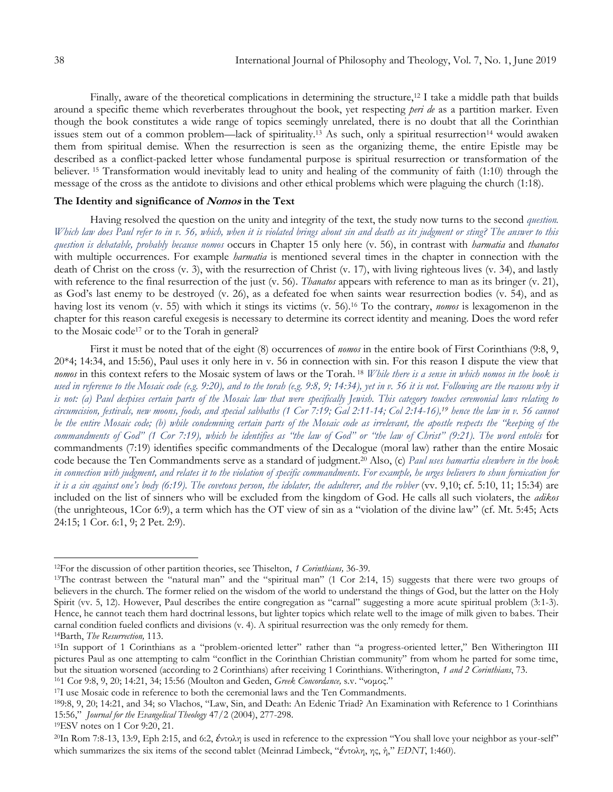Finally, aware of the theoretical complications in determining the structure,<sup>12</sup> I take a middle path that builds around a specific theme which reverberates throughout the book, yet respecting *peri de* as a partition marker. Even though the book constitutes a wide range of topics seemingly unrelated, there is no doubt that all the Corinthian issues stem out of a common problem—lack of spirituality.<sup>13</sup> As such, only a spiritual resurrection<sup>14</sup> would awaken them from spiritual demise. When the resurrection is seen as the organizing theme, the entire Epistle may be described as a conflict-packed letter whose fundamental purpose is spiritual resurrection or transformation of the believer. <sup>15</sup> Transformation would inevitably lead to unity and healing of the community of faith (1:10) through the message of the cross as the antidote to divisions and other ethical problems which were plaguing the church (1:18).

# **The Identity and significance of Nomos in the Text**

Having resolved the question on the unity and integrity of the text, the study now turns to the second *question. Which law does Paul refer to in v. 56, which, when it is violated brings about sin and death as its judgment or sting? The answer to this question is debatable, probably because nomos* occurs in Chapter 15 only here (v. 56), in contrast with *harmatia* and *thanatos* with multiple occurrences. For example *harmatia* is mentioned several times in the chapter in connection with the death of Christ on the cross (v. 3), with the resurrection of Christ (v. 17), with living righteous lives (v. 34), and lastly with reference to the final resurrection of the just (v. 56). *Thanatos* appears with reference to man as its bringer (v. 21), as God's last enemy to be destroyed (v. 26), as a defeated foe when saints wear resurrection bodies (v. 54), and as having lost its venom (v. 55) with which it stings its victims (v. 56).<sup>16</sup> To the contrary, *nomos* is lexagomenon in the chapter for this reason careful exegesis is necessary to determine its correct identity and meaning. Does the word refer to the Mosaic code<sup>17</sup> or to the Torah in general?

First it must be noted that of the eight (8) occurrences of *nomos* in the entire book of First Corinthians (9:8, 9, 20\*4; 14:34, and 15:56), Paul uses it only here in v. 56 in connection with sin. For this reason I dispute the view that *nomos* in this context refers to the Mosaic system of laws or the Torah. <sup>18</sup> *While there is a sense in which nomos in the book is used in reference to the Mosaic code (e.g. 9:20), and to the torah (e.g. 9:8, 9; 14:34), yet in v. 56 it is not. Following are the reasons why it is not: (a) Paul despises certain parts of the Mosaic law that were specifically Jewish. This category touches ceremonial laws relating to circumcision, festivals, new moons, foods, and special sabbaths (1 Cor 7:19; Gal 2:11-14; Col 2:14-16),<sup>19</sup> hence the law in v. 56 cannot be the entire Mosaic code; (b) while condemning certain parts of the Mosaic code as irrelevant, the apostle respects the "keeping of the commandments of God" (1 Cor 7:19), which he identifies as "the law of God" or "the law of Christ" (9:21). The word entolēs* for commandments (7:19) identifies specific commandments of the Decalogue (moral law) rather than the entire Mosaic code because the Ten Commandments serve as a standard of judgment.<sup>20</sup> Also, (c) *Paul uses hamartia elsewhere in the book in connection with judgment, and relates it to the violation of specific commandments. For example, he urges believers to shun fornication for it is a sin against one's body (6:19). The covetous person, the idolater, the adulterer, and the robber* (vv. 9,10; cf. 5:10, 11; 15:34) are included on the list of sinners who will be excluded from the kingdom of God. He calls all such violaters, the *adikos* (the unrighteous, 1Cor 6:9), a term which has the OT view of sin as a "violation of the divine law" (cf. Mt. 5:45; Acts 24:15; 1 Cor. 6:1, 9; 2 Pet. 2:9).

<sup>16</sup>1 Cor 9:8, 9, 20; 14:21, 34; 15:56 (Moulton and Geden, *Greek Concordance,* s.v. "νομος."

<sup>12</sup>For the discussion of other partition theories, see Thiselton, *1 Corinthians,* 36-39.

<sup>&</sup>lt;sup>13</sup>The contrast between the "natural man" and the "spiritual man" (1 Cor 2:14, 15) suggests that there were two groups of believers in the church. The former relied on the wisdom of the world to understand the things of God, but the latter on the Holy Spirit (vv. 5, 12). However, Paul describes the entire congregation as "carnal" suggesting a more acute spiritual problem (3:1-3). Hence, he cannot teach them hard doctrinal lessons, but lighter topics which relate well to the image of milk given to babes. Their carnal condition fueled conflicts and divisions (v. 4). A spiritual resurrection was the only remedy for them. <sup>14</sup>Barth, *The Resurrection,* 113.

<sup>15</sup>In support of 1 Corinthians as a "problem-oriented letter" rather than "a progress-oriented letter," Ben Witherington III pictures Paul as one attempting to calm "conflict in the Corinthian Christian community" from whom he parted for some time, but the situation worsened (according to 2 Corinthians) after receiving 1 Corinthians. Witherington, *1 and 2 Corinthians*, 73.

<sup>17</sup>I use Mosaic code in reference to both the ceremonial laws and the Ten Commandments.

<sup>18</sup>9:8, 9, 20; 14:21, and 34; so Vlachos, "Law, Sin, and Death: An Edenic Triad? An Examination with Reference to 1 Corinthians 15:56," *Journal for the Evangelical Theology* 47/2 (2004), 277-298.

<sup>19</sup>ESV notes on 1 Cor 9:20, 21.

<sup>&</sup>lt;sup>20</sup>In Rom 7:8-13, 13:9, Eph 2:15, and 6:2, *έντολη* is used in reference to the expression "You shall love your neighbor as your-self" which summarizes the six items of the second tablet (Meinrad Limbeck, "*ἐ*ντολη, ης, ή," *EDNT*, 1:460).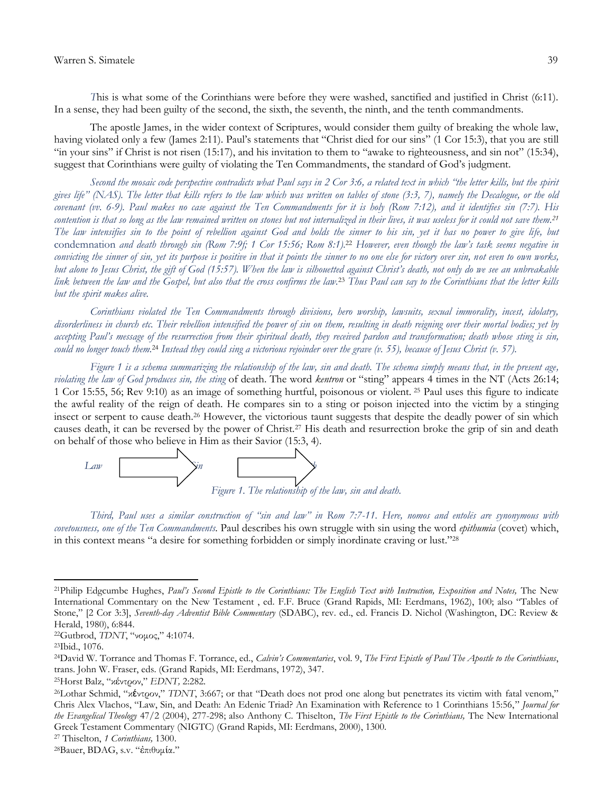*T*his is what some of the Corinthians were before they were washed, sanctified and justified in Christ (6:11). In a sense, they had been guilty of the second, the sixth, the seventh, the ninth, and the tenth commandments.

The apostle James, in the wider context of Scriptures, would consider them guilty of breaking the whole law, having violated only a few (James 2:11). Paul's statements that "Christ died for our sins" (1 Cor 15:3), that you are still "in your sins" if Christ is not risen (15:17), and his invitation to them to "awake to righteousness, and sin not" (15:34), suggest that Corinthians were guilty of violating the Ten Commandments, the standard of God's judgment.

*Second the mosaic code perspective contradicts what Paul says in 2 Cor 3:6, a related text in which "the letter kills, but the spirit gives life" (NAS). The letter that kills refers to the law which was written on tables of stone (3:3, 7), namely the Decalogue, or the old covenant (vv. 6-9). Paul makes no case against the Ten Commandments for it is holy (Rom 7:12), and it identifies sin (7:7). His contention is that so long as the law remained written on stones but not internalized in their lives, it was useless for it could not save them.<sup>21</sup> The law intensifies sin to the point of rebellion against God and holds the sinner to his sin, yet it has no power to give life, but*  condemnation *and death through sin (Rom 7:9f; 1 Cor 15:56; Rom 8:1).*<sup>22</sup> *However, even though the law's task seems negative in convicting the sinner of sin, yet its purpose is positive in that it points the sinner to no one else for victory over sin, not even to own works, but alone to Jesus Christ, the gift of God (15:57). When the law is silhouetted against Christ's death, not only do we see an unbreakable link between the law and the Gospel, but also that the cross confirms the law.*<sup>23</sup> *Thus Paul can say to the Corinthians that the letter kills but the spirit makes alive.*

*Corinthians violated the Ten Commandments through divisions, hero worship, lawsuits, sexual immorality, incest, idolatry, disorderliness in church etc. Their rebellion intensified the power of sin on them, resulting in death reigning over their mortal bodies; yet by accepting Paul's message of the resurrection from their spiritual death, they received pardon and transformation; death whose sting is sin, could no longer touch them.*<sup>24</sup> *Instead they could sing a victorious rejoinder over the grave (v. 55), because of Jesus Christ (v. 57).* 

*Figure 1 is a schema summarizing the relationship of the law, sin and death. The schema simply means that, in the present age, violating the law of God produces sin, the sting* of death. The word *kentron* or "sting" appears 4 times in the NT (Acts 26:14; 1 Cor 15:55, 56; Rev 9:10) as an image of something hurtful, poisonous or violent. <sup>25</sup> Paul uses this figure to indicate the awful reality of the reign of death. He compares sin to a sting or poison injected into the victim by a stinging insect or serpent to cause death.<sup>26</sup> However, the victorious taunt suggests that despite the deadly power of sin which causes death, it can be reversed by the power of Christ.<sup>27</sup> His death and resurrection broke the grip of sin and death on behalf of those who believe in Him as their Savior (15:3, 4).



*Third, Paul uses a similar construction of "sin and law" in Rom 7:7-11. Here, nomos and entolēs are synonymous with covetousness, one of the Ten Commandments.* Paul describes his own struggle with sin using the word *epithumia* (covet) which, in this context means "a desire for something forbidden or simply inordinate craving or lust."<sup>28</sup>

 $\overline{a}$ 

<sup>27</sup> Thiselton, *1 Corinthians,* 1300.

<sup>21</sup>Philip Edgcumbe Hughes, *Paul's Second Epistle to the Corinthians: The English Text with Instruction, Exposition and Notes,* The New International Commentary on the New Testament , ed. F.F. Bruce (Grand Rapids, MI: Eerdmans, 1962), 100; also "Tables of Stone," [2 Cor 3:3], *Seventh-day Adventist Bible Commentary* (SDABC), rev. ed., ed. Francis D. Nichol (Washington, DC: Review & Herald, 1980), 6:844.

<sup>22</sup>Gutbrod, *TDNT*, "νομος," 4:1074.

<sup>23</sup>Ibid., 1076.

<sup>24</sup>David W. Torrance and Thomas F. Torrance, ed., *Calvin's Commentaries*, vol. 9, *The First Epistle of Paul The Apostle to the Corinthians*, trans. John W. Fraser, eds. (Grand Rapids, MI: Eerdmans, 1972), 347.

<sup>25</sup>Horst Balz, "κέντρον," *EDNT,* 2:282.

<sup>&</sup>lt;sup>26</sup>Lothar Schmid, "κέντρον," *TDNT*, 3:667; or that "Death does not prod one along but penetrates its victim with fatal venom," Chris Alex Vlachos, "Law, Sin, and Death: An Edenic Triad? An Examination with Reference to 1 Corinthians 15:56," *Journal for the Evangelical Theology* 47/2 (2004), 277-298; also Anthony C. Thiselton, *The First Epistle to the Corinthians,* The New International Greek Testament Commentary (NIGTC) (Grand Rapids, MI: Eerdmans, 2000), 1300.

<sup>28</sup>Bauer, BDAG, s.v. "ἐπιθυμία."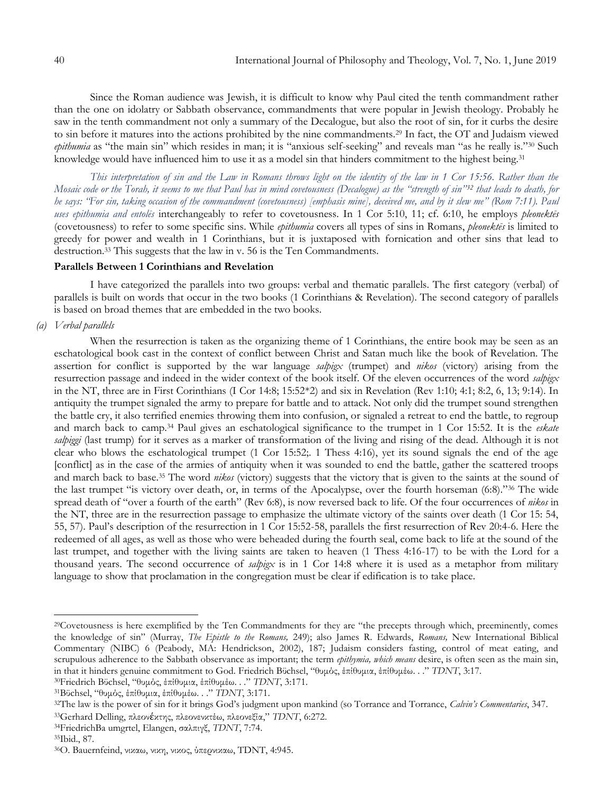Since the Roman audience was Jewish, it is difficult to know why Paul cited the tenth commandment rather than the one on idolatry or Sabbath observance, commandments that were popular in Jewish theology. Probably he saw in the tenth commandment not only a summary of the Decalogue, but also the root of sin, for it curbs the desire to sin before it matures into the actions prohibited by the nine commandments.<sup>29</sup> In fact, the OT and Judaism viewed *epithumia* as "the main sin" which resides in man; it is "anxious self-seeking" and reveals man "as he really is."<sup>30</sup> Such knowledge would have influenced him to use it as a model sin that hinders commitment to the highest being.<sup>31</sup>

*This interpretation of sin and the Law in Romans throws light on the identity of the law in 1 Cor 15:56. Rather than the Mosaic code or the Torah, it seems to me that Paul has in mind covetousness (Decalogue) as the "strength of sin"<sup>32</sup> that leads to death, for he says: "For sin, taking occasion of the commandment (covetousness) [emphasis mine], deceived me, and by it slew me" (Rom 7:11). Paul uses epithumia and entolēs* interchangeably to refer to covetousness. In 1 Cor 5:10, 11; cf. 6:10, he employs *pleonektēs* (covetousness) to refer to some specific sins. While *epithumia* covers all types of sins in Romans, *pleonektēs* is limited to greedy for power and wealth in 1 Corinthians, but it is juxtaposed with fornication and other sins that lead to destruction.<sup>33</sup> This suggests that the law in v. 56 is the Ten Commandments.

# **Parallels Between 1 Corinthians and Revelation**

I have categorized the parallels into two groups: verbal and thematic parallels. The first category (verbal) of parallels is built on words that occur in the two books (1 Corinthians & Revelation). The second category of parallels is based on broad themes that are embedded in the two books.

*(a) Verbal parallels*

When the resurrection is taken as the organizing theme of 1 Corinthians, the entire book may be seen as an eschatological book cast in the context of conflict between Christ and Satan much like the book of Revelation. The assertion for conflict is supported by the war language *salpigx* (trumpet) and *nikos* (victory) arising from the resurrection passage and indeed in the wider context of the book itself. Of the eleven occurrences of the word *salpigx* in the NT, three are in First Corinthians (I Cor 14:8; 15:52\*2) and six in Revelation (Rev 1:10; 4:1; 8:2, 6, 13; 9:14). In antiquity the trumpet signaled the army to prepare for battle and to attack. Not only did the trumpet sound strengthen the battle cry, it also terrified enemies throwing them into confusion, or signaled a retreat to end the battle, to regroup and march back to camp.<sup>34</sup> Paul gives an eschatological significance to the trumpet in 1 Cor 15:52. It is the *eskate salpiggi* (last trump) for it serves as a marker of transformation of the living and rising of the dead. Although it is not clear who blows the eschatological trumpet (1 Cor 15:52;. 1 Thess 4:16), yet its sound signals the end of the age [conflict] as in the case of the armies of antiquity when it was sounded to end the battle, gather the scattered troops and march back to base.<sup>35</sup> The word *nikos* (victory) suggests that the victory that is given to the saints at the sound of the last trumpet "is victory over death, or, in terms of the Apocalypse, over the fourth horseman (6:8)."<sup>36</sup> The wide spread death of "over a fourth of the earth" (Rev 6:8), is now reversed back to life. Of the four occurrences of *nikos* in the NT, three are in the resurrection passage to emphasize the ultimate victory of the saints over death (1 Cor 15: 54, 55, 57). Paul's description of the resurrection in 1 Cor 15:52-58, parallels the first resurrection of Rev 20:4-6. Here the redeemed of all ages, as well as those who were beheaded during the fourth seal, come back to life at the sound of the last trumpet, and together with the living saints are taken to heaven (1 Thess 4:16-17) to be with the Lord for a thousand years. The second occurrence of *salpigx* is in 1 Cor 14:8 where it is used as a metaphor from military language to show that proclamation in the congregation must be clear if edification is to take place.

<sup>&</sup>lt;sup>29</sup>Covetousness is here exemplified by the Ten Commandments for they are "the precepts through which, preeminently, comes the knowledge of sin" (Murray, *The Epistle to the Romans,* 249); also James R. Edwards, *Romans,* New International Biblical Commentary (NIBC) 6 (Peabody, MA: Hendrickson, 2002), 187; Judaism considers fasting, control of meat eating, and scrupulous adherence to the Sabbath observance as important; the term *epithymia, which means* desire, is often seen as the main sin, in that it hinders genuine commitment to God. Friedrich Bϋchsel, "θυμός, έπίθυμια, έπίθυμέω. . ." *TDNT*, 3:17.

<sup>30</sup>Friedrich Bϋchsel, "θυμός, έπίθυμια, έπίθυμέω. . ." *TDNT*, 3:171.

<sup>31</sup>Bϋchsel, "θυμός, έπίθυμια, έπίθυμέω. . ." *TDNT*, 3:171.

<sup>32</sup>The law is the power of sin for it brings God's judgment upon mankind (so Torrance and Torrance, *Calvin's Commentaries*, 347.

<sup>33</sup>Gerhard Delling, πλεονέκτης, πλεονενκτέω, πλεονεξία," *TDNT*, 6:272.

<sup>34</sup>FriedrichBa umgrtel, Elangen, σαλπιγξ, *TDNT*, 7:74.

<sup>35</sup>Ibid., 87.

<sup>36</sup>O. Bauernfeind, νικαω, νικη, νικος, ύπερνικαω, TDNT, 4:945.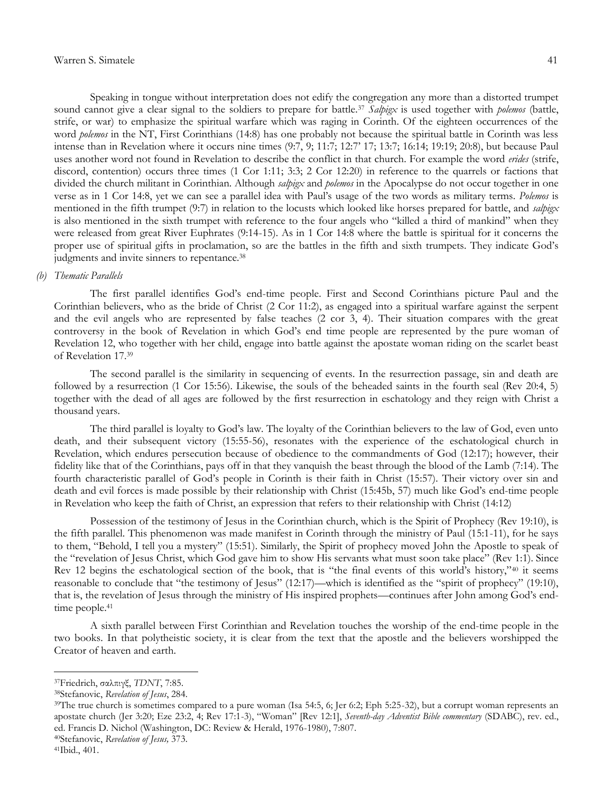Speaking in tongue without interpretation does not edify the congregation any more than a distorted trumpet sound cannot give a clear signal to the soldiers to prepare for battle.<sup>37</sup> *Salpigx* is used together with *polemos* (battle, strife, or war) to emphasize the spiritual warfare which was raging in Corinth. Of the eighteen occurrences of the word *polemos* in the NT, First Corinthians (14:8) has one probably not because the spiritual battle in Corinth was less intense than in Revelation where it occurs nine times (9:7, 9; 11:7; 12:7' 17; 13:7; 16:14; 19:19; 20:8), but because Paul uses another word not found in Revelation to describe the conflict in that church. For example the word *erides* (strife, discord, contention) occurs three times (1 Cor 1:11; 3:3; 2 Cor 12:20) in reference to the quarrels or factions that divided the church militant in Corinthian. Although *salpigx* and *polemos* in the Apocalypse do not occur together in one verse as in 1 Cor 14:8, yet we can see a parallel idea with Paul's usage of the two words as military terms. *Polemos* is mentioned in the fifth trumpet (9:7) in relation to the locusts which looked like horses prepared for battle, and *salpigx* is also mentioned in the sixth trumpet with reference to the four angels who "killed a third of mankind" when they were released from great River Euphrates (9:14-15). As in 1 Cor 14:8 where the battle is spiritual for it concerns the proper use of spiritual gifts in proclamation, so are the battles in the fifth and sixth trumpets. They indicate God's judgments and invite sinners to repentance.<sup>38</sup>

#### *(b) Thematic Parallels*

The first parallel identifies God's end-time people. First and Second Corinthians picture Paul and the Corinthian believers, who as the bride of Christ (2 Cor 11:2), as engaged into a spiritual warfare against the serpent and the evil angels who are represented by false teaches (2 cor 3, 4). Their situation compares with the great controversy in the book of Revelation in which God's end time people are represented by the pure woman of Revelation 12, who together with her child, engage into battle against the apostate woman riding on the scarlet beast of Revelation 17.<sup>39</sup>

The second parallel is the similarity in sequencing of events. In the resurrection passage, sin and death are followed by a resurrection (1 Cor 15:56). Likewise, the souls of the beheaded saints in the fourth seal (Rev 20:4, 5) together with the dead of all ages are followed by the first resurrection in eschatology and they reign with Christ a thousand years.

The third parallel is loyalty to God's law. The loyalty of the Corinthian believers to the law of God, even unto death, and their subsequent victory (15:55-56), resonates with the experience of the eschatological church in Revelation, which endures persecution because of obedience to the commandments of God (12:17); however, their fidelity like that of the Corinthians, pays off in that they vanquish the beast through the blood of the Lamb (7:14). The fourth characteristic parallel of God's people in Corinth is their faith in Christ (15:57). Their victory over sin and death and evil forces is made possible by their relationship with Christ (15:45b, 57) much like God's end-time people in Revelation who keep the faith of Christ, an expression that refers to their relationship with Christ (14:12)

Possession of the testimony of Jesus in the Corinthian church, which is the Spirit of Prophecy (Rev 19:10), is the fifth parallel. This phenomenon was made manifest in Corinth through the ministry of Paul (15:1-11), for he says to them, "Behold, I tell you a mystery" (15:51). Similarly, the Spirit of prophecy moved John the Apostle to speak of the "revelation of Jesus Christ, which God gave him to show His servants what must soon take place" (Rev 1:1). Since Rev 12 begins the eschatological section of the book, that is "the final events of this world's history,"<sup>40</sup> it seems reasonable to conclude that "the testimony of Jesus" (12:17)—which is identified as the "spirit of prophecy" (19:10), that is, the revelation of Jesus through the ministry of His inspired prophets—continues after John among God's endtime people.<sup>41</sup>

A sixth parallel between First Corinthian and Revelation touches the worship of the end-time people in the two books. In that polytheistic society, it is clear from the text that the apostle and the believers worshipped the Creator of heaven and earth.

<sup>37</sup>Friedrich, σαλπιγξ, *TDNT*, 7:85.

<sup>38</sup>Stefanovic, *Revelation of Jesus*, 284.

<sup>&</sup>lt;sup>39</sup>The true church is sometimes compared to a pure woman (Isa 54:5, 6; Jer 6:2; Eph 5:25-32), but a corrupt woman represents an apostate church (Jer 3:20; Eze 23:2, 4; Rev 17:1-3), "Woman" [Rev 12:1], *Seventh-day Adventist Bible commentary* (SDABC), rev. ed., ed. Francis D. Nichol (Washington, DC: Review & Herald, 1976-1980), 7:807.

<sup>40</sup>Stefanovic, *Revelation of Jesus,* 373.

<sup>41</sup>Ibid., 401.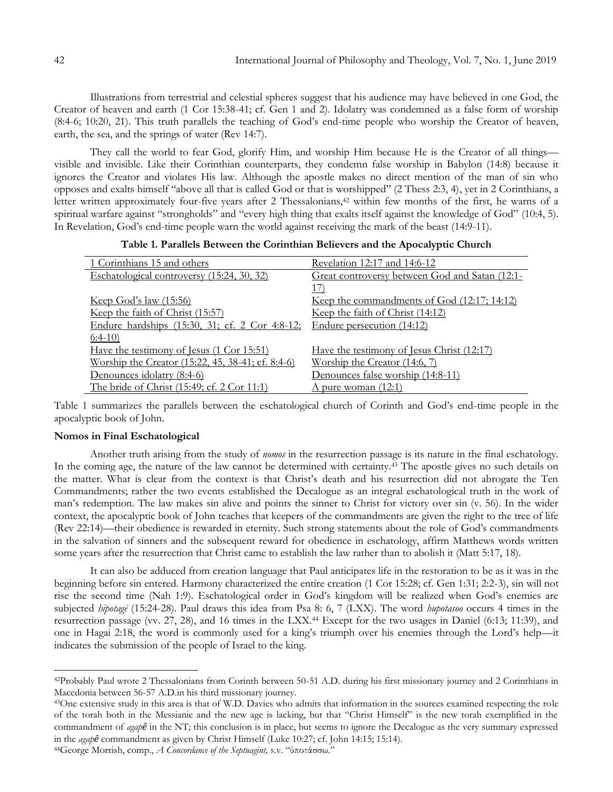Illustrations from terrestrial and celestial spheres suggest that his audience may have believed in one God, the Creator of heaven and earth (1 Cor 15:38-41; cf. Gen 1 and 2). Idolatry was condemned as a false form of worship (8:4-6; 10:20, 21). This truth parallels the teaching of God's end-time people who worship the Creator of heaven, earth, the sea, and the springs of water (Rev 14:7).

They call the world to fear God, glorify Him, and worship Him because He is the Creator of all things visible and invisible. Like their Corinthian counterparts, they condemn false worship in Babylon (14:8) because it ignores the Creator and violates His law. Although the apostle makes no direct mention of the man of sin who opposes and exalts himself "above all that is called God or that is worshipped" (2 Thess 2:3, 4), yet in 2 Corinthians, a letter written approximately four-five years after 2 Thessalonians,<sup>42</sup> within few months of the first, he warns of a spiritual warfare against "strongholds" and "every high thing that exalts itself against the knowledge of God" (10:4, 5). In Revelation, God's end-time people warn the world against receiving the mark of the beast (14:9-11).

|  |  |  |  |  |  | Table 1. Parallels Between the Corinthian Believers and the Apocalyptic Church |  |  |  |  |  |
|--|--|--|--|--|--|--------------------------------------------------------------------------------|--|--|--|--|--|
|--|--|--|--|--|--|--------------------------------------------------------------------------------|--|--|--|--|--|

| 1 Corinthians 15 and others                              | Revelation 12:17 and 14:6-12                   |
|----------------------------------------------------------|------------------------------------------------|
| Eschatological controversy (15:24, 30, 32)               | Great controversy between God and Satan (12:1- |
|                                                          | 17)                                            |
| <u>Keep God's law (15:56)</u>                            | Keep the commandments of God (12:17; 14:12)    |
| Keep the faith of Christ (15:57)                         | Keep the faith of Christ (14:12)               |
| Endure hardships (15:30, 31; cf. 2 Cor 4:8-12;           | Endure persecution (14:12)                     |
| $6:4-10$                                                 |                                                |
| Have the testimony of Jesus (1 Cor 15:51)                | Have the testimony of Jesus Christ (12:17)     |
| <u>Worship the Creator (15:22, 45, 38-41; cf. 8:4-6)</u> | Worship the Creator (14:6, 7)                  |
| Denounces idolatry (8:4-6)                               | Denounces false worship (14:8-11)              |
| The bride of Christ (15:49; cf. 2 Cor 11:1)              | <u>A pure woman (12:1)</u>                     |

Table 1 summarizes the parallels between the eschatological church of Corinth and God's end-time people in the apocalyptic book of John.

## **Nomos in Final Eschatological**

 $\overline{a}$ 

Another truth arising from the study of *nomos* in the resurrection passage is its nature in the final eschatology. In the coming age, the nature of the law cannot be determined with certainty.<sup>43</sup> The apostle gives no such details on the matter. What is clear from the context is that Christ's death and his resurrection did not abrogate the Ten Commandments; rather the two events established the Decalogue as an integral eschatological truth in the work of man's redemption. The law makes sin alive and points the sinner to Christ for victory over sin (v. 56). In the wider context, the apocalyptic book of John teaches that keepers of the commandments are given the right to the tree of life (Rev 22:14)—their obedience is rewarded in eternity. Such strong statements about the role of God's commandments in the salvation of sinners and the subsequent reward for obedience in eschatology, affirm Matthews words written some years after the resurrection that Christ came to establish the law rather than to abolish it (Matt 5:17, 18).

It can also be adduced from creation language that Paul anticipates life in the restoration to be as it was in the beginning before sin entered. Harmony characterized the entire creation (1 Cor 15:28; cf. Gen 1:31; 2:2-3), sin will not rise the second time (Nah 1:9). Eschatological order in God's kingdom will be realized when God's enemies are subjected *hipotagē* (15:24-28). Paul draws this idea from Psa 8: 6, 7 (LXX). The word *hupotasoo* occurs 4 times in the resurrection passage (vv. 27, 28), and 16 times in the LXX.<sup>44</sup> Except for the two usages in Daniel (6:13; 11:39), and one in Hagai 2:18, the word is commonly used for a king's triumph over his enemies through the Lord's help—it indicates the submission of the people of Israel to the king.

<sup>42</sup>Probably Paul wrote 2 Thessalonians from Corinth between 50-51 A.D. during his first missionary journey and 2 Corinthians in Macedonia between 56-57 A.D.in his third missionary journey.

<sup>43</sup>One extensive study in this area is that of W.D. Davies who admits that information in the sources examined respecting the role of the torah both in the Messianic and the new age is lacking, but that "Christ Himself" is the new torah exemplified in the commandment of *agap*<sup> $\hat{\theta}$ </sup> in the NT; this conclusion is in place, but seems to ignore the Decalogue as the very summary expressed in the *agap* $\hat{\theta}$  commandment as given by Christ Himself (Luke 10:27; cf. John 14:15; 15:14).

<sup>44</sup>George Morrish, comp., *A Concordance of the Septuagint,* s.v. "ύποτάσσω."